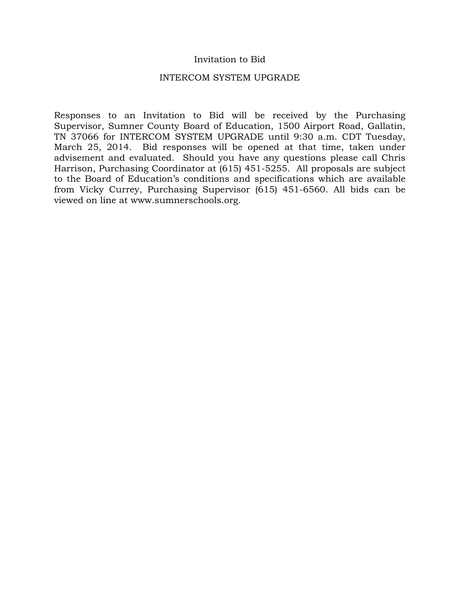## Invitation to Bid

#### INTERCOM SYSTEM UPGRADE

Responses to an Invitation to Bid will be received by the Purchasing Supervisor, Sumner County Board of Education, 1500 Airport Road, Gallatin, TN 37066 for INTERCOM SYSTEM UPGRADE until 9:30 a.m. CDT Tuesday, March 25, 2014. Bid responses will be opened at that time, taken under advisement and evaluated. Should you have any questions please call Chris Harrison, Purchasing Coordinator at (615) 451-5255. All proposals are subject to the Board of Education's conditions and specifications which are available from Vicky Currey, Purchasing Supervisor (615) 451-6560. All bids can be viewed on line at www.sumnerschools.org.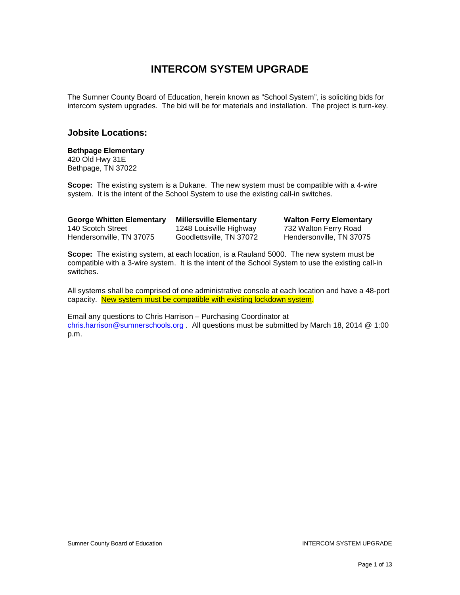# **INTERCOM SYSTEM UPGRADE**

The Sumner County Board of Education, herein known as "School System", is soliciting bids for intercom system upgrades. The bid will be for materials and installation. The project is turn-key.

#### **Jobsite Locations:**

#### **Bethpage Elementary**

420 Old Hwy 31E Bethpage, TN 37022

**Scope:** The existing system is a Dukane. The new system must be compatible with a 4-wire system. It is the intent of the School System to use the existing call-in switches.

Hendersonville, TN 37075

**George Whitten Elementary Millersville Elementary Walton Ferry Elementary** 1248 Louisville Highway 732 Walton Ferry Road<br>Goodlettsville, TN 37072 Hendersonville, TN 37075

**Scope:** The existing system, at each location, is a Rauland 5000. The new system must be compatible with a 3-wire system. It is the intent of the School System to use the existing call-in switches.

All systems shall be comprised of one administrative console at each location and have a 48-port capacity. New system must be compatible with existing lockdown system.

Email any questions to Chris Harrison – Purchasing Coordinator at [chris.harrison@sumnerschools.org](mailto:chris.harrison@sumnerschools.org) . All questions must be submitted by March 18, 2014 @ 1:00 p.m.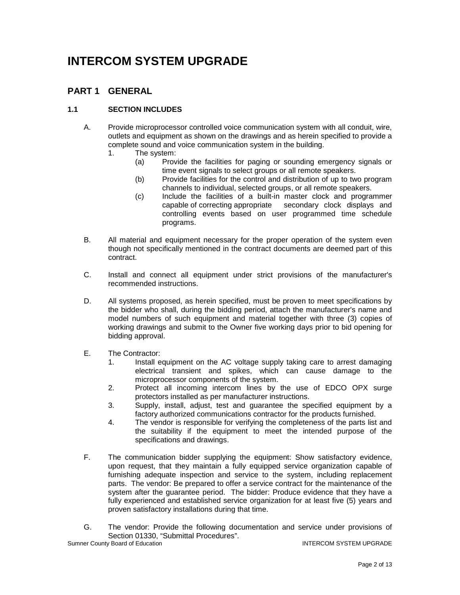# **INTERCOM SYSTEM UPGRADE**

## **PART 1 GENERAL**

### **1.1 SECTION INCLUDES**

- A. Provide microprocessor controlled voice communication system with all conduit, wire, outlets and equipment as shown on the drawings and as herein specified to provide a complete sound and voice communication system in the building.
	- 1. The system:
		- (a) Provide the facilities for paging or sounding emergency signals or time event signals to select groups or all remote speakers.
		- (b) Provide facilities for the control and distribution of up to two program channels to individual, selected groups, or all remote speakers.
		- (c) Include the facilities of a built-in master clock and programmer capable of correcting appropriate secondary clock displays and controlling events based on user programmed time schedule programs.
- B. All material and equipment necessary for the proper operation of the system even though not specifically mentioned in the contract documents are deemed part of this contract.
- C. Install and connect all equipment under strict provisions of the manufacturer's recommended instructions.
- D. All systems proposed, as herein specified, must be proven to meet specifications by the bidder who shall, during the bidding period, attach the manufacturer's name and model numbers of such equipment and material together with three (3) copies of working drawings and submit to the Owner five working days prior to bid opening for bidding approval.
- E. The Contractor:
	- 1. Install equipment on the AC voltage supply taking care to arrest damaging electrical transient and spikes, which can cause damage to the microprocessor components of the system.
	- 2. Protect all incoming intercom lines by the use of EDCO OPX surge protectors installed as per manufacturer instructions.
	- 3. Supply, install, adjust, test and guarantee the specified equipment by a factory authorized communications contractor for the products furnished.
	- 4. The vendor is responsible for verifying the completeness of the parts list and the suitability if the equipment to meet the intended purpose of the specifications and drawings.
- F. The communication bidder supplying the equipment: Show satisfactory evidence, upon request, that they maintain a fully equipped service organization capable of furnishing adequate inspection and service to the system, including replacement parts. The vendor: Be prepared to offer a service contract for the maintenance of the system after the guarantee period. The bidder: Produce evidence that they have a fully experienced and established service organization for at least five (5) years and proven satisfactory installations during that time.
- G. The vendor: Provide the following documentation and service under provisions of Section 01330, "Submittal Procedures".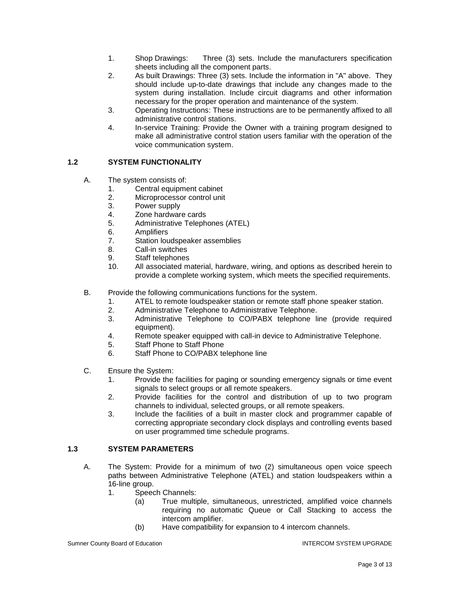- 1. Shop Drawings: Three (3) sets. Include the manufacturers specification sheets including all the component parts.
- 2. As built Drawings: Three (3) sets. Include the information in "A" above. They should include up-to-date drawings that include any changes made to the system during installation. Include circuit diagrams and other information necessary for the proper operation and maintenance of the system.
- 3. Operating Instructions: These instructions are to be permanently affixed to all administrative control stations.
- 4. In-service Training: Provide the Owner with a training program designed to make all administrative control station users familiar with the operation of the voice communication system.

#### **1.2 SYSTEM FUNCTIONALITY**

- A. The system consists of:
	- 1. Central equipment cabinet
	- 2. Microprocessor control unit<br>3. Power supply
	- Power supply
	- 4. Zone hardware cards
	- 5. Administrative Telephones (ATEL)
	- 6. Amplifiers
	- 7. Station loudspeaker assemblies
	- 8. Call-in switches
	- 9. Staff telephones
	- 10. All associated material, hardware, wiring, and options as described herein to provide a complete working system, which meets the specified requirements.
- B. Provide the following communications functions for the system.
	- 1. ATEL to remote loudspeaker station or remote staff phone speaker station.<br>2. Administrative Telephone to Administrative Telephone.
	- 2. Administrative Telephone to Administrative Telephone.<br>3. Administrative Telephone to CO/PABX telephone li
	- Administrative Telephone to CO/PABX telephone line (provide required equipment).
	- 4. Remote speaker equipped with call-in device to Administrative Telephone.
	- 5. Staff Phone to Staff Phone
	- 6. Staff Phone to CO/PABX telephone line
- C. Ensure the System:
	- 1. Provide the facilities for paging or sounding emergency signals or time event signals to select groups or all remote speakers.
	- 2. Provide facilities for the control and distribution of up to two program channels to individual, selected groups, or all remote speakers.
	- 3. Include the facilities of a built in master clock and programmer capable of correcting appropriate secondary clock displays and controlling events based on user programmed time schedule programs.

#### **1.3 SYSTEM PARAMETERS**

- A. The System: Provide for a minimum of two (2) simultaneous open voice speech paths between Administrative Telephone (ATEL) and station loudspeakers within a 16-line group.
	- 1. Speech Channels:
		- (a) True multiple, simultaneous, unrestricted, amplified voice channels requiring no automatic Queue or Call Stacking to access the intercom amplifier.
		- (b) Have compatibility for expansion to 4 intercom channels.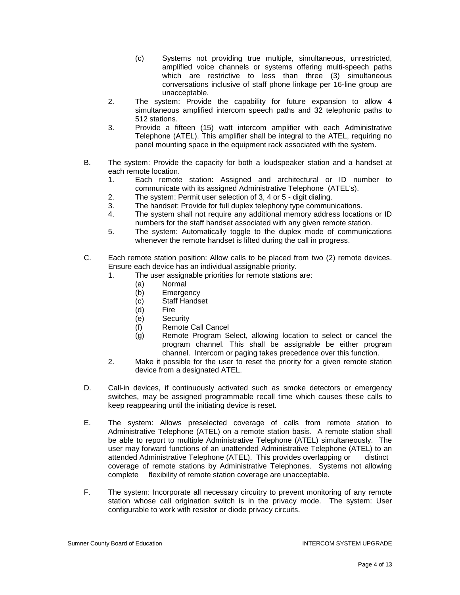- (c) Systems not providing true multiple, simultaneous, unrestricted, amplified voice channels or systems offering multi-speech paths which are restrictive to less than three (3) simultaneous conversations inclusive of staff phone linkage per 16-line group are unacceptable.
- 2. The system: Provide the capability for future expansion to allow 4 simultaneous amplified intercom speech paths and 32 telephonic paths to 512 stations.
- 3. Provide a fifteen (15) watt intercom amplifier with each Administrative Telephone (ATEL). This amplifier shall be integral to the ATEL, requiring no panel mounting space in the equipment rack associated with the system.
- B. The system: Provide the capacity for both a loudspeaker station and a handset at each remote location.
	- 1. Each remote station: Assigned and architectural or ID number to communicate with its assigned Administrative Telephone (ATEL's).
	- 2. The system: Permit user selection of 3, 4 or 5 digit dialing.
	- 3. The handset: Provide for full duplex telephony type communications.
	- 4. The system shall not require any additional memory address locations or ID numbers for the staff handset associated with any given remote station.
	- 5. The system: Automatically toggle to the duplex mode of communications whenever the remote handset is lifted during the call in progress.
- C. Each remote station position: Allow calls to be placed from two (2) remote devices. Ensure each device has an individual assignable priority.
	- 1. The user assignable priorities for remote stations are:
		- (a) Normal
		- (b) Emergency
		- (c) Staff Handset
		- (d) Fire
		- (e) Security
		- (f) Remote Call Cancel
		- (g) Remote Program Select, allowing location to select or cancel the program channel. This shall be assignable be either program channel. Intercom or paging takes precedence over this function.
	- 2. Make it possible for the user to reset the priority for a given remote station device from a designated ATEL.
- D. Call-in devices, if continuously activated such as smoke detectors or emergency switches, may be assigned programmable recall time which causes these calls to keep reappearing until the initiating device is reset.
- E. The system: Allows preselected coverage of calls from remote station to Administrative Telephone (ATEL) on a remote station basis. A remote station shall be able to report to multiple Administrative Telephone (ATEL) simultaneously. The user may forward functions of an unattended Administrative Telephone (ATEL) to an attended Administrative Telephone (ATEL). This provides overlapping or distinct attended Administrative Telephone (ATEL). This provides overlapping or coverage of remote stations by Administrative Telephones. Systems not allowing complete flexibility of remote station coverage are unacceptable.
- F. The system: Incorporate all necessary circuitry to prevent monitoring of any remote station whose call origination switch is in the privacy mode. The system: User configurable to work with resistor or diode privacy circuits.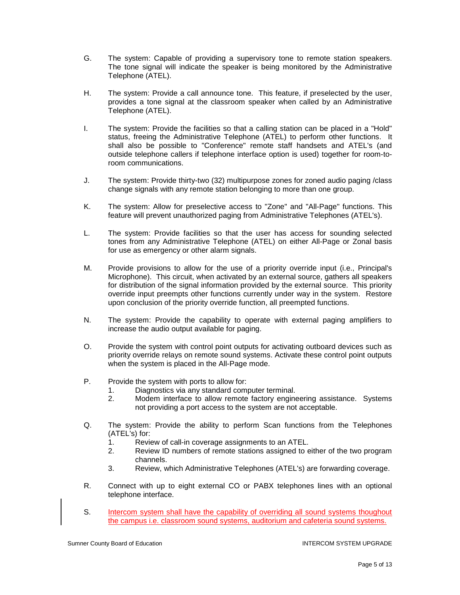- G. The system: Capable of providing a supervisory tone to remote station speakers. The tone signal will indicate the speaker is being monitored by the Administrative Telephone (ATEL).
- H. The system: Provide a call announce tone. This feature, if preselected by the user, provides a tone signal at the classroom speaker when called by an Administrative Telephone (ATEL).
- I. The system: Provide the facilities so that a calling station can be placed in a "Hold" status, freeing the Administrative Telephone (ATEL) to perform other functions. It shall also be possible to "Conference" remote staff handsets and ATEL's (and outside telephone callers if telephone interface option is used) together for room-toroom communications.
- J. The system: Provide thirty-two (32) multipurpose zones for zoned audio paging /class change signals with any remote station belonging to more than one group.
- K. The system: Allow for preselective access to "Zone" and "All-Page" functions. This feature will prevent unauthorized paging from Administrative Telephones (ATEL's).
- L. The system: Provide facilities so that the user has access for sounding selected tones from any Administrative Telephone (ATEL) on either All-Page or Zonal basis for use as emergency or other alarm signals.
- M. Provide provisions to allow for the use of a priority override input (i.e., Principal's Microphone). This circuit, when activated by an external source, gathers all speakers for distribution of the signal information provided by the external source. This priority override input preempts other functions currently under way in the system. Restore upon conclusion of the priority override function, all preempted functions.
- N. The system: Provide the capability to operate with external paging amplifiers to increase the audio output available for paging.
- O. Provide the system with control point outputs for activating outboard devices such as priority override relays on remote sound systems. Activate these control point outputs when the system is placed in the All-Page mode.
- P. Provide the system with ports to allow for:
	- 1. Diagnostics via any standard computer terminal.<br>2 Modem interface to allow remote factory engine
	- 2. Modem interface to allow remote factory engineering assistance. Systems not providing a port access to the system are not acceptable.
- Q. The system: Provide the ability to perform Scan functions from the Telephones (ATEL's) for:
	- 1. Review of call-in coverage assignments to an ATEL.
	- 2. Review ID numbers of remote stations assigned to either of the two program channels.
	- 3. Review, which Administrative Telephones (ATEL's) are forwarding coverage.
- R. Connect with up to eight external CO or PABX telephones lines with an optional telephone interface.
- S. Intercom system shall have the capability of overriding all sound systems thoughout the campus i.e. classroom sound systems, auditorium and cafeteria sound systems.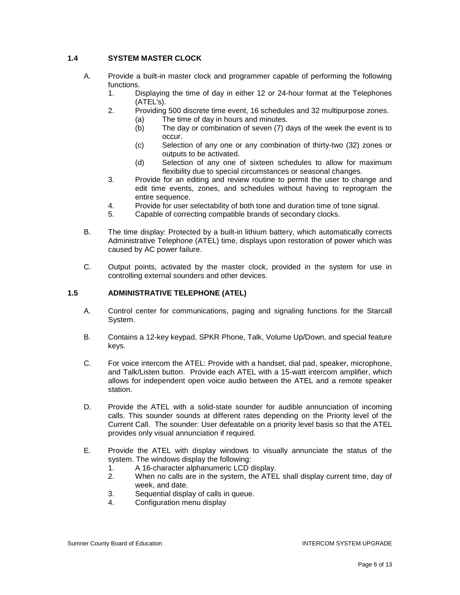### **1.4 SYSTEM MASTER CLOCK**

- A. Provide a built-in master clock and programmer capable of performing the following functions.
	- 1. Displaying the time of day in either 12 or 24-hour format at the Telephones (ATEL's).
	- 2. Providing 500 discrete time event, 16 schedules and 32 multipurpose zones. (a) The time of day in hours and minutes.
		- (b) The day or combination of seven (7) days of the week the event is to occur.
		- (c) Selection of any one or any combination of thirty-two (32) zones or outputs to be activated.
		- (d) Selection of any one of sixteen schedules to allow for maximum flexibility due to special circumstances or seasonal changes.
	- 3. Provide for an editing and review routine to permit the user to change and edit time events, zones, and schedules without having to reprogram the entire sequence.
	- 4. Provide for user selectability of both tone and duration time of tone signal.
	- 5. Capable of correcting compatible brands of secondary clocks.
- B. The time display: Protected by a built-in lithium battery, which automatically corrects Administrative Telephone (ATEL) time, displays upon restoration of power which was caused by AC power failure.
- C. Output points, activated by the master clock, provided in the system for use in controlling external sounders and other devices.

#### **1.5 ADMINISTRATIVE TELEPHONE (ATEL)**

- A. Control center for communications, paging and signaling functions for the Starcall System.
- B. Contains a 12-key keypad, SPKR Phone, Talk, Volume Up/Down, and special feature keys.
- C. For voice intercom the ATEL: Provide with a handset, dial pad, speaker, microphone, and Talk/Listen button. Provide each ATEL with a 15-watt intercom amplifier, which allows for independent open voice audio between the ATEL and a remote speaker station.
- D. Provide the ATEL with a solid-state sounder for audible annunciation of incoming calls. This sounder sounds at different rates depending on the Priority level of the Current Call. The sounder: User defeatable on a priority level basis so that the ATEL provides only visual annunciation if required.
- E. Provide the ATEL with display windows to visually annunciate the status of the system. The windows display the following:
	- 1. A 16-character alphanumeric LCD display.<br>2. When no calls are in the system, the ATEL
	- When no calls are in the system, the ATEL shall display current time, day of week, and date.
	- 3. Sequential display of calls in queue.
	- 4. Configuration menu display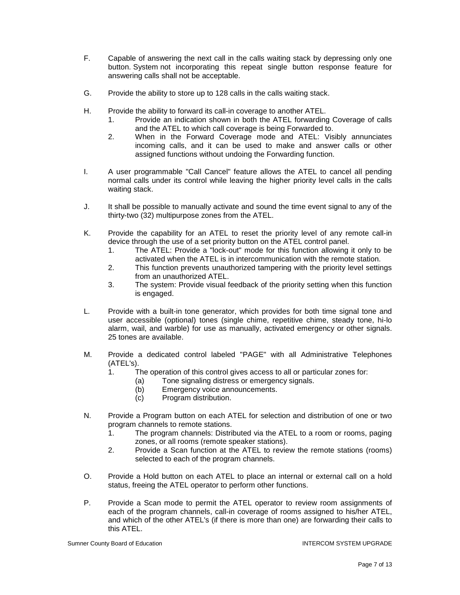- F. Capable of answering the next call in the calls waiting stack by depressing only one button. System not incorporating this repeat single button response feature for answering calls shall not be acceptable.
- G. Provide the ability to store up to 128 calls in the calls waiting stack.
- H. Provide the ability to forward its call-in coverage to another ATEL.
	- 1. Provide an indication shown in both the ATEL forwarding Coverage of calls and the ATEL to which call coverage is being Forwarded to.
	- 2. When in the Forward Coverage mode and ATEL: Visibly annunciates incoming calls, and it can be used to make and answer calls or other assigned functions without undoing the Forwarding function.
- I. A user programmable "Call Cancel" feature allows the ATEL to cancel all pending normal calls under its control while leaving the higher priority level calls in the calls waiting stack.
- J. It shall be possible to manually activate and sound the time event signal to any of the thirty-two (32) multipurpose zones from the ATEL.
- K. Provide the capability for an ATEL to reset the priority level of any remote call-in device through the use of a set priority button on the ATEL control panel.
	- 1. The ATEL: Provide a "lock-out" mode for this function allowing it only to be activated when the ATEL is in intercommunication with the remote station.
	- 2. This function prevents unauthorized tampering with the priority level settings from an unauthorized ATEL.
	- 3. The system: Provide visual feedback of the priority setting when this function is engaged.
- L. Provide with a built-in tone generator, which provides for both time signal tone and user accessible (optional) tones (single chime, repetitive chime, steady tone, hi-lo alarm, wail, and warble) for use as manually, activated emergency or other signals. 25 tones are available.
- M. Provide a dedicated control labeled "PAGE" with all Administrative Telephones (ATEL's).
	- 1. The operation of this control gives access to all or particular zones for:
		- (a) Tone signaling distress or emergency signals.
		- (b) Emergency voice announcements.
		- (c) Program distribution.
- N. Provide a Program button on each ATEL for selection and distribution of one or two program channels to remote stations.
	- 1. The program channels: Distributed via the ATEL to a room or rooms, paging zones, or all rooms (remote speaker stations).
	- 2. Provide a Scan function at the ATEL to review the remote stations (rooms) selected to each of the program channels.
- O. Provide a Hold button on each ATEL to place an internal or external call on a hold status, freeing the ATEL operator to perform other functions.
- P. Provide a Scan mode to permit the ATEL operator to review room assignments of each of the program channels, call-in coverage of rooms assigned to his/her ATEL, and which of the other ATEL's (if there is more than one) are forwarding their calls to this ATEL.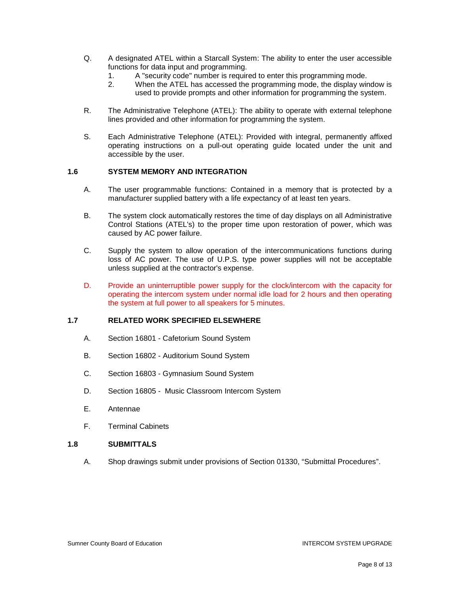- Q. A designated ATEL within a Starcall System: The ability to enter the user accessible functions for data input and programming.
	- 1. A "security code" number is required to enter this programming mode.<br>2 When the ATFL has accessed the programming mode, the display wire
	- When the ATEL has accessed the programming mode, the display window is used to provide prompts and other information for programming the system.
- R. The Administrative Telephone (ATEL): The ability to operate with external telephone lines provided and other information for programming the system.
- S. Each Administrative Telephone (ATEL): Provided with integral, permanently affixed operating instructions on a pull-out operating guide located under the unit and accessible by the user.

#### **1.6 SYSTEM MEMORY AND INTEGRATION**

- A. The user programmable functions: Contained in a memory that is protected by a manufacturer supplied battery with a life expectancy of at least ten years.
- B. The system clock automatically restores the time of day displays on all Administrative Control Stations (ATEL's) to the proper time upon restoration of power, which was caused by AC power failure.
- C. Supply the system to allow operation of the intercommunications functions during loss of AC power. The use of U.P.S. type power supplies will not be acceptable unless supplied at the contractor's expense.
- D. Provide an uninterruptible power supply for the clock/intercom with the capacity for operating the intercom system under normal idle load for 2 hours and then operating the system at full power to all speakers for 5 minutes.

#### **1.7 RELATED WORK SPECIFIED ELSEWHERE**

- A. Section 16801 Cafetorium Sound System
- B. Section 16802 Auditorium Sound System
- C. Section 16803 Gymnasium Sound System
- D. Section 16805 Music Classroom Intercom System
- E. Antennae
- F. Terminal Cabinets

#### **1.8 SUBMITTALS**

A. Shop drawings submit under provisions of Section 01330, "Submittal Procedures".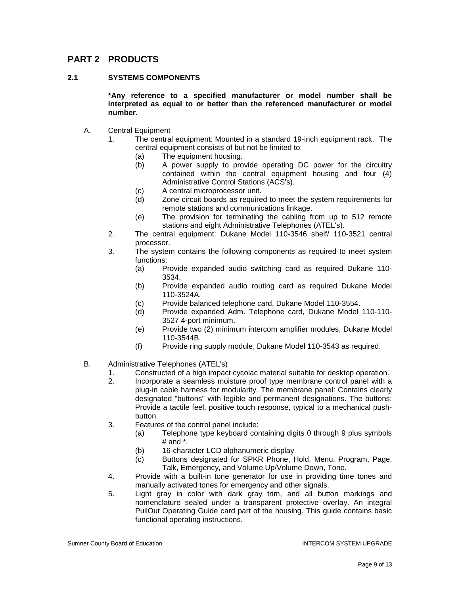## **PART 2 PRODUCTS**

#### **2.1 SYSTEMS COMPONENTS**

**\*Any reference to a specified manufacturer or model number shall be interpreted as equal to or better than the referenced manufacturer or model number.**

- A. Central Equipment
	- 1. The central equipment: Mounted in a standard 19-inch equipment rack. The central equipment consists of but not be limited to:
		- (a) The equipment housing.<br>(b) A power supply to pro
		- A power supply to provide operating DC power for the circuitry contained within the central equipment housing and four (4) Administrative Control Stations (ACS's).
		- (c) A central microprocessor unit.
		- (d) Zone circuit boards as required to meet the system requirements for remote stations and communications linkage.
		- (e) The provision for terminating the cabling from up to 512 remote stations and eight Administrative Telephones (ATEL's).
	- 2. The central equipment: Dukane Model 110-3546 shelf/ 110-3521 central processor.
	- 3. The system contains the following components as required to meet system functions:
		- (a) Provide expanded audio switching card as required Dukane 110- 3534.
		- (b) Provide expanded audio routing card as required Dukane Model 110-3524A.
		- (c) Provide balanced telephone card, Dukane Model 110-3554.
		- (d) Provide expanded Adm. Telephone card, Dukane Model 110-110- 3527 4-port minimum.
		- (e) Provide two (2) minimum intercom amplifier modules, Dukane Model 110-3544B.
		- (f) Provide ring supply module, Dukane Model 110-3543 as required.
- B. Administrative Telephones (ATEL's)
	- 1. Constructed of a high impact cycolac material suitable for desktop operation.<br>2. Constructed a seamless moisture proof type membrane control panel with a
	- 2. Incorporate a seamless moisture proof type membrane control panel with a plug-in cable harness for modularity. The membrane panel: Contains clearly designated "buttons" with legible and permanent designations. The buttons: Provide a tactile feel, positive touch response, typical to a mechanical pushbutton.
	- 3. Features of the control panel include:
		- (a) Telephone type keyboard containing digits 0 through 9 plus symbols  $#$  and  $*$ .
		- (b) 16-character LCD alphanumeric display.
		- (c) Buttons designated for SPKR Phone, Hold, Menu, Program, Page, Talk, Emergency, and Volume Up/Volume Down, Tone.
	- 4. Provide with a built-in tone generator for use in providing time tones and manually activated tones for emergency and other signals.
	- 5. Light gray in color with dark gray trim, and all button markings and nomenclature sealed under a transparent protective overlay. An integral PullOut Operating Guide card part of the housing. This guide contains basic functional operating instructions.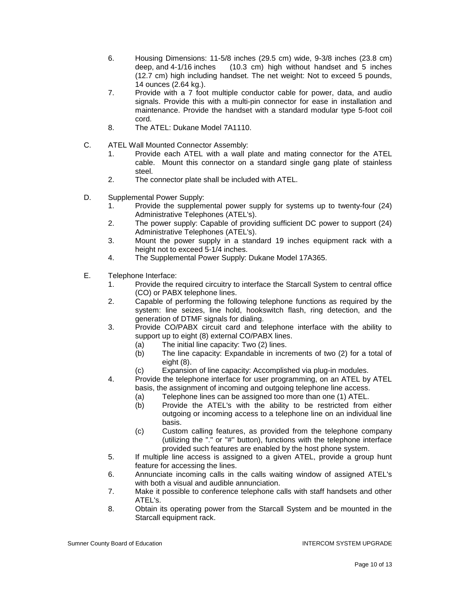- 6. Housing Dimensions: 11-5/8 inches (29.5 cm) wide, 9-3/8 inches (23.8 cm) deep, and 4-1/16 inches (10.3 cm) high without handset and 5 inches (12.7 cm) high including handset. The net weight: Not to exceed 5 pounds, 14 ounces (2.64 kg.).
- 7. Provide with a 7 foot multiple conductor cable for power, data, and audio signals. Provide this with a multi-pin connector for ease in installation and maintenance. Provide the handset with a standard modular type 5-foot coil cord.
- 8. The ATEL: Dukane Model 7A1110.
- C. ATEL Wall Mounted Connector Assembly:
	- 1. Provide each ATEL with a wall plate and mating connector for the ATEL cable. Mount this connector on a standard single gang plate of stainless steel.
	- 2. The connector plate shall be included with ATEL.
- D. Supplemental Power Supply:
	- 1. Provide the supplemental power supply for systems up to twenty-four (24) Administrative Telephones (ATEL's).
	- 2. The power supply: Capable of providing sufficient DC power to support (24) Administrative Telephones (ATEL's).
	- 3. Mount the power supply in a standard 19 inches equipment rack with a height not to exceed 5-1/4 inches.
	- 4. The Supplemental Power Supply: Dukane Model 17A365.
- E. Telephone Interface:
	- 1. Provide the required circuitry to interface the Starcall System to central office (CO) or PABX telephone lines.
	- 2. Capable of performing the following telephone functions as required by the system: line seizes, line hold, hookswitch flash, ring detection, and the generation of DTMF signals for dialing.
	- 3. Provide CO/PABX circuit card and telephone interface with the ability to support up to eight (8) external CO/PABX lines.
		- (a) The initial line capacity: Two (2) lines.
		- (b) The line capacity: Expandable in increments of two (2) for a total of eight (8).
		- (c) Expansion of line capacity: Accomplished via plug-in modules.
	- 4. Provide the telephone interface for user programming, on an ATEL by ATEL basis, the assignment of incoming and outgoing telephone line access.
		- (a) Telephone lines can be assigned too more than one (1) ATEL.
		- (b) Provide the ATEL's with the ability to be restricted from either outgoing or incoming access to a telephone line on an individual line basis.
		- (c) Custom calling features, as provided from the telephone company (utilizing the "." or "#" button), functions with the telephone interface provided such features are enabled by the host phone system.
	- 5. If multiple line access is assigned to a given ATEL, provide a group hunt feature for accessing the lines.
	- 6. Annunciate incoming calls in the calls waiting window of assigned ATEL's with both a visual and audible annunciation.
	- 7. Make it possible to conference telephone calls with staff handsets and other ATEL's.
	- 8. Obtain its operating power from the Starcall System and be mounted in the Starcall equipment rack.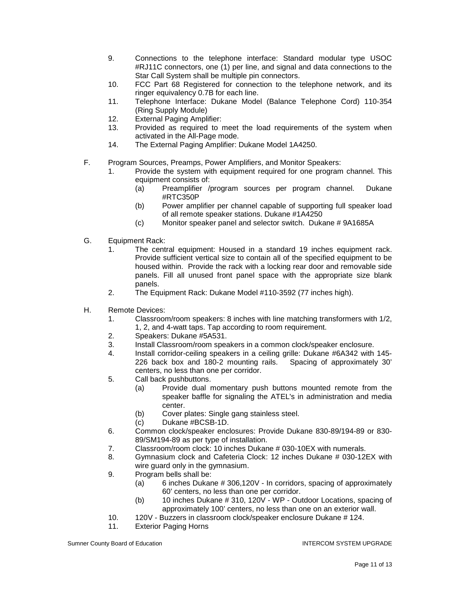- 9. Connections to the telephone interface: Standard modular type USOC #RJ11C connectors, one (1) per line, and signal and data connections to the Star Call System shall be multiple pin connectors.
- 10. FCC Part 68 Registered for connection to the telephone network, and its ringer equivalency 0.7B for each line.
- 11. Telephone Interface: Dukane Model (Balance Telephone Cord) 110-354 (Ring Supply Module)
- 12. External Paging Amplifier:
- 13. Provided as required to meet the load requirements of the system when activated in the All-Page mode.
- 14. The External Paging Amplifier: Dukane Model 1A4250.
- F. Program Sources, Preamps, Power Amplifiers, and Monitor Speakers:
	- 1. Provide the system with equipment required for one program channel. This equipment consists of:
		- (a) Preamplifier /program sources per program channel. Dukane #RTC350P
		- (b) Power amplifier per channel capable of supporting full speaker load of all remote speaker stations. Dukane #1A4250
		- (c) Monitor speaker panel and selector switch. Dukane # 9A1685A
- G. Equipment Rack:
	- 1. The central equipment: Housed in a standard 19 inches equipment rack. Provide sufficient vertical size to contain all of the specified equipment to be housed within. Provide the rack with a locking rear door and removable side panels. Fill all unused front panel space with the appropriate size blank panels.
	- 2. The Equipment Rack: Dukane Model #110-3592 (77 inches high).
- H. Remote Devices:
	- 1. Classroom/room speakers: 8 inches with line matching transformers with 1/2, 1, 2, and 4-watt taps. Tap according to room requirement.
	- 2. Speakers: Dukane #5A531.
	- 3. Install Classroom/room speakers in a common clock/speaker enclosure.
	- 4. Install corridor-ceiling speakers in a ceiling grille: Dukane #6A342 with 145-<br>226 back box and 180-2 mounting rails. Spacing of approximately 30' 226 back box and 180-2 mounting rails. centers, no less than one per corridor.
	- 5. Call back pushbuttons.
		- (a) Provide dual momentary push buttons mounted remote from the speaker baffle for signaling the ATEL's in administration and media center.
		- (b) Cover plates: Single gang stainless steel.
		- (c) Dukane #BCSB-1D.
	- 6. Common clock/speaker enclosures: Provide Dukane 830-89/194-89 or 830- 89/SM194-89 as per type of installation.
	- 7. Classroom/room clock: 10 inches Dukane # 030-10EX with numerals.
	- 8. Gymnasium clock and Cafeteria Clock: 12 inches Dukane # 030-12EX with wire guard only in the gymnasium.
	- 9. Program bells shall be:
		- (a) 6 inches Dukane # 306,120V In corridors, spacing of approximately 60' centers, no less than one per corridor.
		- (b) 10 inches Dukane # 310, 120V WP Outdoor Locations, spacing of approximately 100' centers, no less than one on an exterior wall.
	- 10. 120V Buzzers in classroom clock/speaker enclosure Dukane # 124.
	- 11. Exterior Paging Horns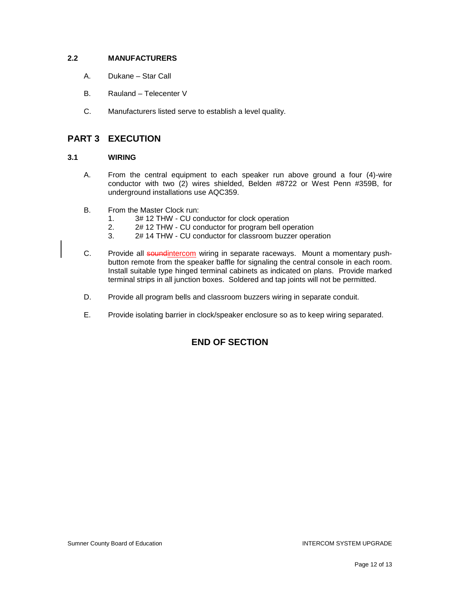#### **2.2 MANUFACTURERS**

- A. Dukane Star Call
- B. Rauland Telecenter V
- C. Manufacturers listed serve to establish a level quality.

## **PART 3 EXECUTION**

#### **3.1 WIRING**

- A. From the central equipment to each speaker run above ground a four (4)-wire conductor with two (2) wires shielded, Belden #8722 or West Penn #359B, for underground installations use AQC359.
- B. From the Master Clock run:
	- 1. 3# 12 THW CU conductor for clock operation
	- 2. 2# 12 THW CU conductor for program bell operation<br>3. 2# 14 THW CU conductor for classroom buzzer operation
	- 2# 14 THW CU conductor for classroom buzzer operation
- C. Provide all soundintercom wiring in separate raceways. Mount a momentary pushbutton remote from the speaker baffle for signaling the central console in each room. Install suitable type hinged terminal cabinets as indicated on plans. Provide marked terminal strips in all junction boxes. Soldered and tap joints will not be permitted.
- D. Provide all program bells and classroom buzzers wiring in separate conduit.
- E. Provide isolating barrier in clock/speaker enclosure so as to keep wiring separated.

## **END OF SECTION**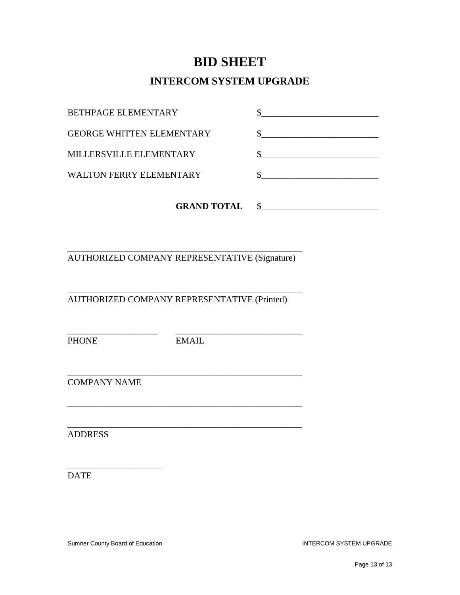# **BID SHEET**

# **INTERCOM SYSTEM UPGRADE**

| <b>GRAND TOTAL</b>               |  |
|----------------------------------|--|
| WALTON FERRY ELEMENTARY          |  |
| MILLERSVILLE ELEMENTARY          |  |
| <b>GEORGE WHITTEN ELEMENTARY</b> |  |
| BETHPAGE ELEMENTARY              |  |

\_\_\_\_\_\_\_\_\_\_\_\_\_\_\_\_\_\_\_\_\_\_\_\_\_\_\_\_\_\_\_\_\_\_\_\_\_\_\_\_\_\_\_\_\_\_\_\_\_\_\_\_ AUTHORIZED COMPANY REPRESENTATIVE (Signature)

\_\_\_\_\_\_\_\_\_\_\_\_\_\_\_\_\_\_\_\_\_\_\_\_\_\_\_\_\_\_\_\_\_\_\_\_\_\_\_\_\_\_\_\_\_\_\_\_\_\_\_\_

AUTHORIZED COMPANY REPRESENTATIVE (Printed)

PHONE EMAIL

\_\_\_\_\_\_\_\_\_\_\_\_\_\_\_\_\_\_\_\_ \_\_\_\_\_\_\_\_\_\_\_\_\_\_\_\_\_\_\_\_\_\_\_\_\_\_\_\_

\_\_\_\_\_\_\_\_\_\_\_\_\_\_\_\_\_\_\_\_\_\_\_\_\_\_\_\_\_\_\_\_\_\_\_\_\_\_\_\_\_\_\_\_\_\_\_\_\_\_\_\_

\_\_\_\_\_\_\_\_\_\_\_\_\_\_\_\_\_\_\_\_\_\_\_\_\_\_\_\_\_\_\_\_\_\_\_\_\_\_\_\_\_\_\_\_\_\_\_\_\_\_\_\_

COMPANY NAME

\_\_\_\_\_\_\_\_\_\_\_\_\_\_\_\_\_\_\_\_\_\_\_\_\_\_\_\_\_\_\_\_\_\_\_\_\_\_\_\_\_\_\_\_\_\_\_\_\_\_\_\_ ADDRESS

DATE

Sumner County Board of Education **INTERCOM SYSTEM UPGRADE** 

\_\_\_\_\_\_\_\_\_\_\_\_\_\_\_\_\_\_\_\_\_